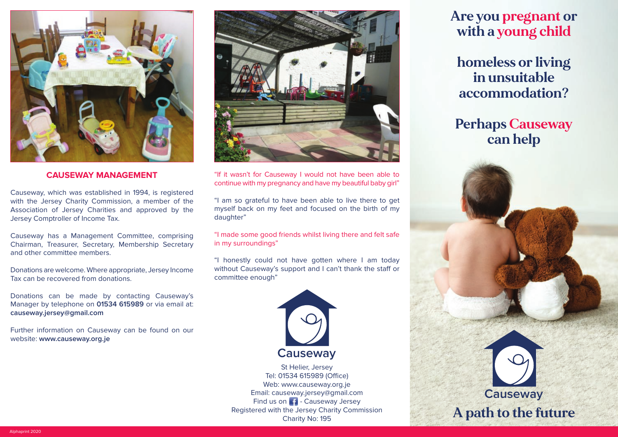

### **CAUSEWAY MANAGEMENT**

Causeway, which was established in 1994, is registered with the Jersey Charity Commission, a member of the Association of Jersey Charities and approved by the Jersey Comptroller of Income Tax.

Causeway has a Management Committee, comprising Chairman, Treasurer, Secretary, Membership Secretary and other committee members.

Donations are welcome. Where appropriate, Jersey Income Tax can be recovered from donations.

Donations can be made by contacting Causeway's Manager by telephone on **01534 615989** or via email at: **causeway.jersey@gmail.com**

Further information on Causeway can be found on our website: **www.causeway.org.je**



"If it wasn't for Causeway I would not have been able to continue with my pregnancy and have my beautiful baby girl"

"I am so grateful to have been able to live there to get myself back on my feet and focused on the birth of my daughter"

"I made some good friends whilst living there and felt safe in my surroundings"

"I honestly could not have gotten where I am today without Causeway's support and I can't thank the staff or committee enough"



St Helier, Jersey Tel: 01534 615989 (Office) Web: www.causeway.org.je Email: causeway.jersey@gmail.com Find us on  $\blacksquare$  - Causeway Jersey Registered with the Jersey Charity Commission Charity No: 195

# **Are you pregnant or with a young child**

**homeless or living in unsuitable accommodation?**

**Perhaps Causeway can help**